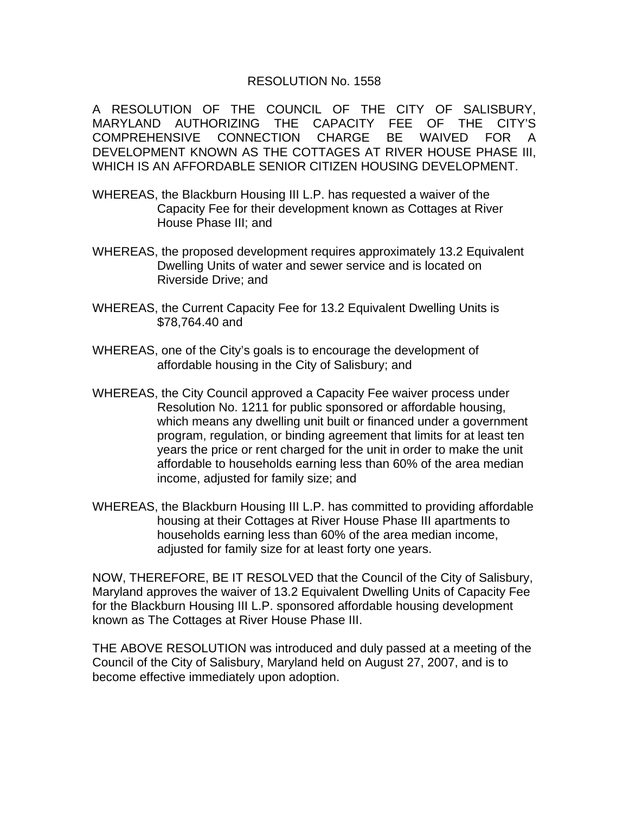## RESOLUTION No. 1558

A RESOLUTION OF THE COUNCIL OF THE CITY OF SALISBURY, MARYLAND AUTHORIZING THE CAPACITY FEE OF THE CITY'S COMPREHENSIVE CONNECTION CHARGE BE WAIVED FOR A DEVELOPMENT KNOWN AS THE COTTAGES AT RIVER HOUSE PHASE III, WHICH IS AN AFFORDABLE SENIOR CITIZEN HOUSING DEVELOPMENT.

- WHEREAS, the Blackburn Housing III L.P. has requested a waiver of the Capacity Fee for their development known as Cottages at River House Phase III; and
- WHEREAS, the proposed development requires approximately 13.2 Equivalent Dwelling Units of water and sewer service and is located on Riverside Drive; and
- WHEREAS, the Current Capacity Fee for 13.2 Equivalent Dwelling Units is \$78,764.40 and
- WHEREAS, one of the City's goals is to encourage the development of affordable housing in the City of Salisbury; and
- WHEREAS, the City Council approved a Capacity Fee waiver process under Resolution No. 1211 for public sponsored or affordable housing, which means any dwelling unit built or financed under a government program, regulation, or binding agreement that limits for at least ten years the price or rent charged for the unit in order to make the unit affordable to households earning less than 60% of the area median income, adjusted for family size; and
- WHEREAS, the Blackburn Housing III L.P. has committed to providing affordable housing at their Cottages at River House Phase III apartments to households earning less than 60% of the area median income, adjusted for family size for at least forty one years.

NOW, THEREFORE, BE IT RESOLVED that the Council of the City of Salisbury, Maryland approves the waiver of 13.2 Equivalent Dwelling Units of Capacity Fee for the Blackburn Housing III L.P. sponsored affordable housing development known as The Cottages at River House Phase III.

THE ABOVE RESOLUTION was introduced and duly passed at a meeting of the Council of the City of Salisbury, Maryland held on August 27, 2007, and is to become effective immediately upon adoption.